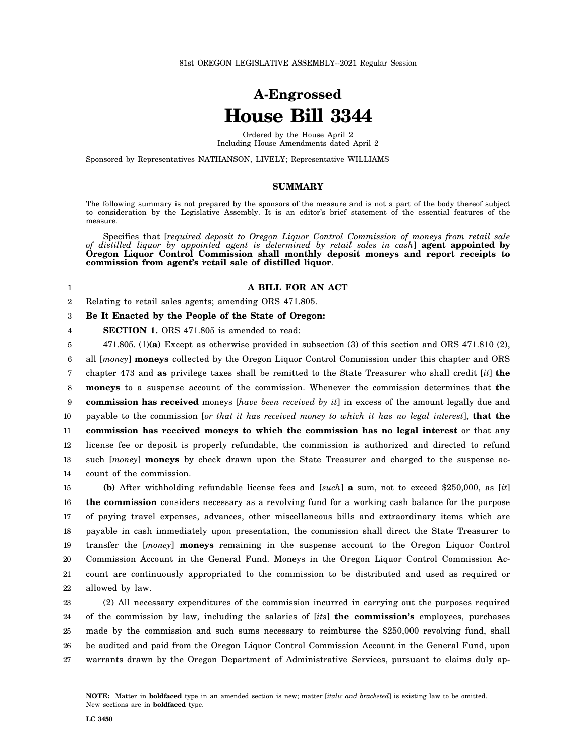# **A-Engrossed House Bill 3344**

Ordered by the House April 2 Including House Amendments dated April 2

Sponsored by Representatives NATHANSON, LIVELY; Representative WILLIAMS

### **SUMMARY**

The following summary is not prepared by the sponsors of the measure and is not a part of the body thereof subject to consideration by the Legislative Assembly. It is an editor's brief statement of the essential features of the measure.

Specifies that [*required deposit to Oregon Liquor Control Commission of moneys from retail sale of distilled liquor by appointed agent is determined by retail sales in cash*] **agent appointed by Oregon Liquor Control Commission shall monthly deposit moneys and report receipts to commission from agent's retail sale of distilled liquor**.

## 1

4

#### **A BILL FOR AN ACT**

2 Relating to retail sales agents; amending ORS 471.805.

#### 3 **Be It Enacted by the People of the State of Oregon:**

**SECTION 1.** ORS 471.805 is amended to read:

5 6 7 8 9 10 11 12 13 14 471.805. (1)**(a)** Except as otherwise provided in subsection (3) of this section and ORS 471.810 (2), all [*money*] **moneys** collected by the Oregon Liquor Control Commission under this chapter and ORS chapter 473 and **as** privilege taxes shall be remitted to the State Treasurer who shall credit [*it*] **the moneys** to a suspense account of the commission. Whenever the commission determines that **the commission has received** moneys [*have been received by it*] in excess of the amount legally due and payable to the commission [*or that it has received money to which it has no legal interest*], **that the commission has received moneys to which the commission has no legal interest** or that any license fee or deposit is properly refundable, the commission is authorized and directed to refund such [*money*] **moneys** by check drawn upon the State Treasurer and charged to the suspense account of the commission.

15 16 17 18 19 20 21 22 **(b)** After withholding refundable license fees and [*such*] **a** sum, not to exceed \$250,000, as [*it*] **the commission** considers necessary as a revolving fund for a working cash balance for the purpose of paying travel expenses, advances, other miscellaneous bills and extraordinary items which are payable in cash immediately upon presentation, the commission shall direct the State Treasurer to transfer the [*money*] **moneys** remaining in the suspense account to the Oregon Liquor Control Commission Account in the General Fund. Moneys in the Oregon Liquor Control Commission Account are continuously appropriated to the commission to be distributed and used as required or allowed by law.

23 24 25 26 27 (2) All necessary expenditures of the commission incurred in carrying out the purposes required of the commission by law, including the salaries of [*its*] **the commission's** employees, purchases made by the commission and such sums necessary to reimburse the \$250,000 revolving fund, shall be audited and paid from the Oregon Liquor Control Commission Account in the General Fund, upon warrants drawn by the Oregon Department of Administrative Services, pursuant to claims duly ap